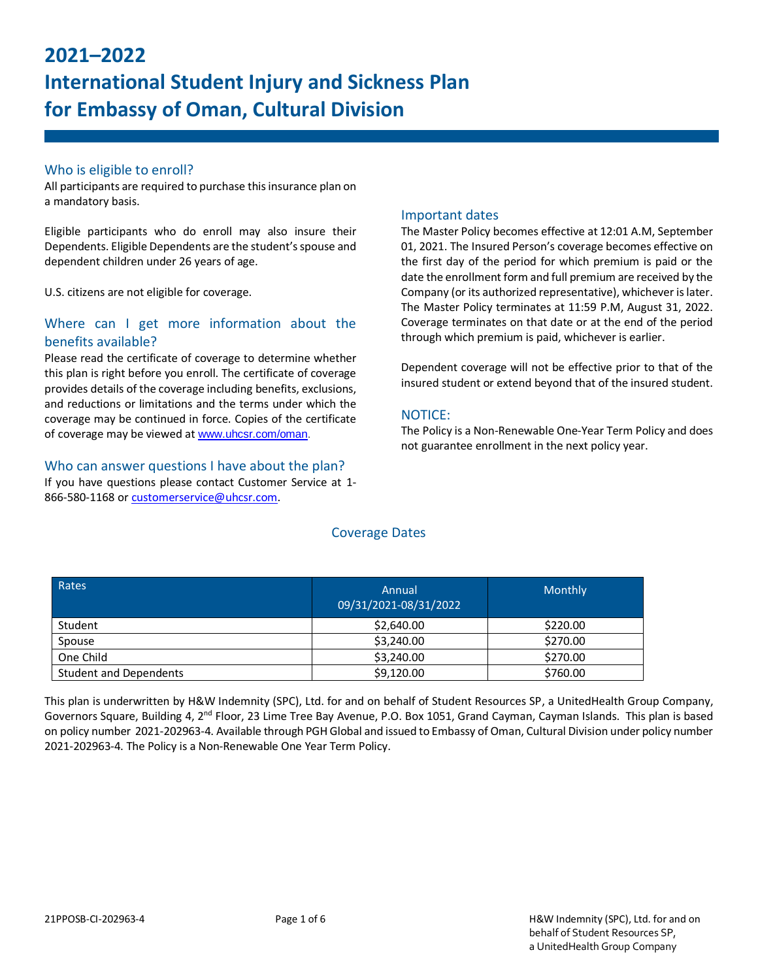# **2021–2022 International Student Injury and Sickness Plan for Embassy of Oman, Cultural Division**

# Who is eligible to enroll?

All participants are required to purchase this insurance plan on a mandatory basis.

Eligible participants who do enroll may also insure their Dependents. Eligible Dependents are the student's spouse and dependent children under 26 years of age.

U.S. citizens are not eligible for coverage.

# Where can I get more information about the benefits available?

Please read the certificate of coverage to determine whether this plan is right before you enroll. The certificate of coverage provides details of the coverage including benefits, exclusions, and reductions or limitations and the terms under which the coverage may be continued in force. Copies of the certificate of coverage may be viewed at www.uhcsr.com/oman.

#### Who can answer questions I have about the plan?

If you have questions please contact Customer Service at 1- 866-580-1168 or [customerservice@uhcsr.com.](mailto:customerservice@uhcsr.com)

# Important dates

The Master Policy becomes effective at 12:01 A.M, September 01, 2021. The Insured Person's coverage becomes effective on the first day of the period for which premium is paid or the date the enrollment form and full premium are received by the Company (or its authorized representative), whichever is later. The Master Policy terminates at 11:59 P.M, August 31, 2022. Coverage terminates on that date or at the end of the period through which premium is paid, whichever is earlier.

Dependent coverage will not be effective prior to that of the insured student or extend beyond that of the insured student.

# NOTICE:

The Policy is a Non-Renewable One-Year Term Policy and does not guarantee enrollment in the next policy year.

| Rates                         | Annual<br>09/31/2021-08/31/2022 | <b>Monthly</b> |
|-------------------------------|---------------------------------|----------------|
| Student                       | \$2,640.00                      | \$220.00       |
| Spouse                        | \$3,240.00                      | \$270.00       |
| One Child                     | \$3,240.00                      | \$270.00       |
| <b>Student and Dependents</b> | \$9,120.00                      | \$760.00       |

# Coverage Dates

This plan is underwritten by H&W Indemnity (SPC), Ltd. for and on behalf of Student Resources SP, a UnitedHealth Group Company, Governors Square, Building 4, 2<sup>nd</sup> Floor, 23 Lime Tree Bay Avenue, P.O. Box 1051, Grand Cayman, Cayman Islands. This plan is based on policy number 2021-202963-4. Available through PGH Global and issued to Embassy of Oman, Cultural Division under policy number 2021-202963-4. The Policy is a Non-Renewable One Year Term Policy.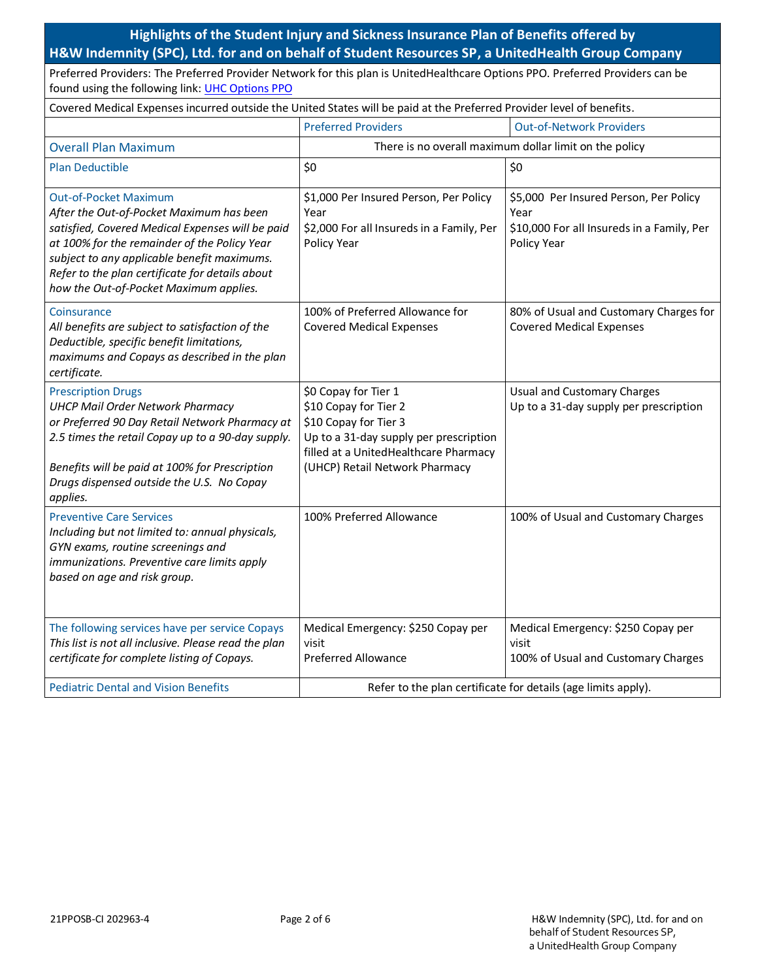**Highlights of the Student Injury and Sickness Insurance Plan of Benefits offered by H&W Indemnity (SPC), Ltd. for and on behalf of Student Resources SP, a UnitedHealth Group Company**

Preferred Providers: The Preferred Provider Network for this plan is UnitedHealthcare Options PPO. Preferred Providers can be found using the following link: [UHC Options PPO](http://www.uhcsr.com/lookupredirect.aspx?delsys=01)

| Covered Medical Expenses incurred outside the United States will be paid at the Preferred Provider level of benefits.                                                                                                                                                                                                    |                                                                                                                                                                                             |                                                                                                             |  |
|--------------------------------------------------------------------------------------------------------------------------------------------------------------------------------------------------------------------------------------------------------------------------------------------------------------------------|---------------------------------------------------------------------------------------------------------------------------------------------------------------------------------------------|-------------------------------------------------------------------------------------------------------------|--|
|                                                                                                                                                                                                                                                                                                                          | <b>Preferred Providers</b>                                                                                                                                                                  | <b>Out-of-Network Providers</b>                                                                             |  |
| <b>Overall Plan Maximum</b>                                                                                                                                                                                                                                                                                              | There is no overall maximum dollar limit on the policy                                                                                                                                      |                                                                                                             |  |
| <b>Plan Deductible</b>                                                                                                                                                                                                                                                                                                   | \$0                                                                                                                                                                                         | \$0                                                                                                         |  |
| <b>Out-of-Pocket Maximum</b><br>After the Out-of-Pocket Maximum has been<br>satisfied, Covered Medical Expenses will be paid<br>at 100% for the remainder of the Policy Year<br>subject to any applicable benefit maximums.<br>Refer to the plan certificate for details about<br>how the Out-of-Pocket Maximum applies. | \$1,000 Per Insured Person, Per Policy<br>Year<br>\$2,000 For all Insureds in a Family, Per<br>Policy Year                                                                                  | \$5,000 Per Insured Person, Per Policy<br>Year<br>\$10,000 For all Insureds in a Family, Per<br>Policy Year |  |
| Coinsurance<br>All benefits are subject to satisfaction of the<br>Deductible, specific benefit limitations,<br>maximums and Copays as described in the plan<br>certificate.                                                                                                                                              | 100% of Preferred Allowance for<br><b>Covered Medical Expenses</b>                                                                                                                          | 80% of Usual and Customary Charges for<br><b>Covered Medical Expenses</b>                                   |  |
| <b>Prescription Drugs</b><br><b>UHCP Mail Order Network Pharmacy</b><br>or Preferred 90 Day Retail Network Pharmacy at<br>2.5 times the retail Copay up to a 90-day supply.<br>Benefits will be paid at 100% for Prescription<br>Drugs dispensed outside the U.S. No Copay<br>applies.                                   | \$0 Copay for Tier 1<br>\$10 Copay for Tier 2<br>\$10 Copay for Tier 3<br>Up to a 31-day supply per prescription<br>filled at a UnitedHealthcare Pharmacy<br>(UHCP) Retail Network Pharmacy | <b>Usual and Customary Charges</b><br>Up to a 31-day supply per prescription                                |  |
| <b>Preventive Care Services</b><br>Including but not limited to: annual physicals,<br>GYN exams, routine screenings and<br>immunizations. Preventive care limits apply<br>based on age and risk group.                                                                                                                   | 100% Preferred Allowance                                                                                                                                                                    | 100% of Usual and Customary Charges                                                                         |  |
| The following services have per service Copays<br>This list is not all inclusive. Please read the plan<br>certificate for complete listing of Copays.                                                                                                                                                                    | Medical Emergency: \$250 Copay per<br>visit<br><b>Preferred Allowance</b>                                                                                                                   | Medical Emergency: \$250 Copay per<br>visit<br>100% of Usual and Customary Charges                          |  |
| <b>Pediatric Dental and Vision Benefits</b>                                                                                                                                                                                                                                                                              | Refer to the plan certificate for details (age limits apply).                                                                                                                               |                                                                                                             |  |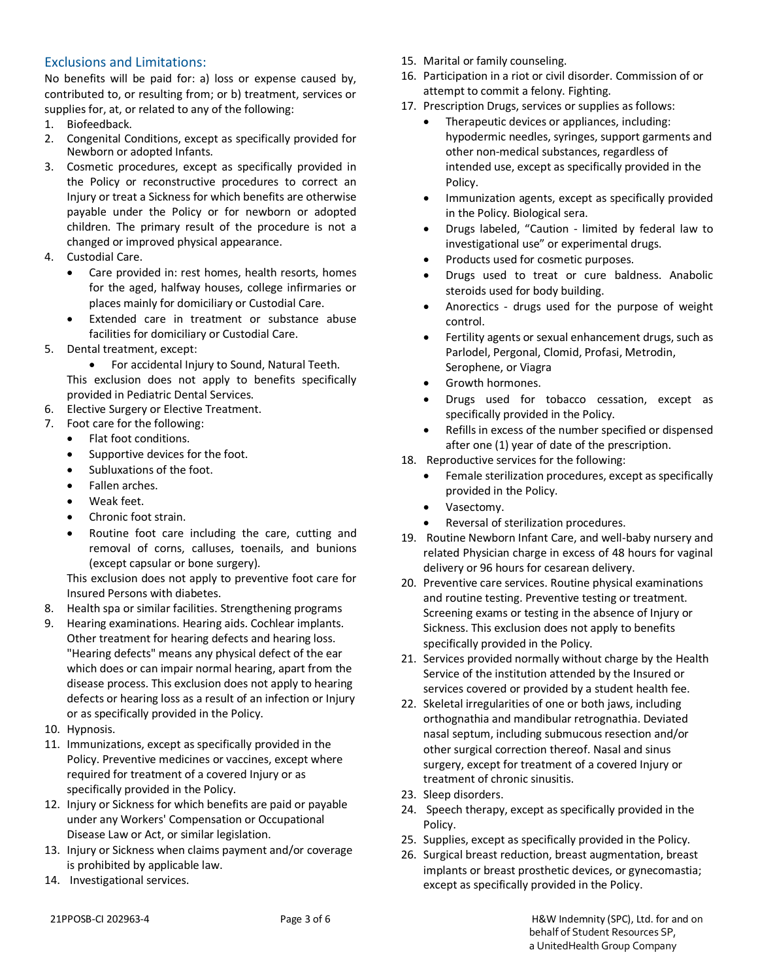# Exclusions and Limitations:

No benefits will be paid for: a) loss or expense caused by, contributed to, or resulting from; or b) treatment, services or supplies for, at, or related to any of the following:

- 1. Biofeedback.
- 2. Congenital Conditions, except as specifically provided for Newborn or adopted Infants.
- 3. Cosmetic procedures, except as specifically provided in the Policy or reconstructive procedures to correct an Injury or treat a Sickness for which benefits are otherwise payable under the Policy or for newborn or adopted children. The primary result of the procedure is not a changed or improved physical appearance.
- 4. Custodial Care.
	- Care provided in: rest homes, health resorts, homes for the aged, halfway houses, college infirmaries or places mainly for domiciliary or Custodial Care.
	- Extended care in treatment or substance abuse facilities for domiciliary or Custodial Care.
- 5. Dental treatment, except:

For accidental Injury to Sound, Natural Teeth.

This exclusion does not apply to benefits specifically provided in Pediatric Dental Services.

- 6. Elective Surgery or Elective Treatment.
- 7. Foot care for the following:
	- Flat foot conditions.
	- Supportive devices for the foot.
	- Subluxations of the foot.
	- Fallen arches.
	- Weak feet.
	- Chronic foot strain.
	- Routine foot care including the care, cutting and removal of corns, calluses, toenails, and bunions (except capsular or bone surgery).

This exclusion does not apply to preventive foot care for Insured Persons with diabetes.

- 8. Health spa or similar facilities. Strengthening programs
- 9. Hearing examinations. Hearing aids. Cochlear implants. Other treatment for hearing defects and hearing loss. "Hearing defects" means any physical defect of the ear which does or can impair normal hearing, apart from the disease process. This exclusion does not apply to hearing defects or hearing loss as a result of an infection or Injury or as specifically provided in the Policy.
- 10. Hypnosis.
- 11. Immunizations, except as specifically provided in the Policy. Preventive medicines or vaccines, except where required for treatment of a covered Injury or as specifically provided in the Policy.
- 12. Injury or Sickness for which benefits are paid or payable under any Workers' Compensation or Occupational Disease Law or Act, or similar legislation.
- 13. Injury or Sickness when claims payment and/or coverage is prohibited by applicable law.
- 14. Investigational services.
- 15. Marital or family counseling.
- 16. Participation in a riot or civil disorder. Commission of or attempt to commit a felony. Fighting.
- 17. Prescription Drugs, services or supplies as follows:
	- Therapeutic devices or appliances, including: hypodermic needles, syringes, support garments and other non-medical substances, regardless of intended use, except as specifically provided in the Policy.
	- Immunization agents, except as specifically provided in the Policy. Biological sera.
	- Drugs labeled, "Caution limited by federal law to investigational use" or experimental drugs.
	- Products used for cosmetic purposes.
	- Drugs used to treat or cure baldness. Anabolic steroids used for body building.
	- Anorectics drugs used for the purpose of weight control.
	- **•** Fertility agents or sexual enhancement drugs, such as Parlodel, Pergonal, Clomid, Profasi, Metrodin, Serophene, or Viagra
	- Growth hormones.
	- Drugs used for tobacco cessation, except as specifically provided in the Policy.
	- Refills in excess of the number specified or dispensed after one (1) year of date of the prescription.
- 18. Reproductive services for the following:
	- Female sterilization procedures, except as specifically provided in the Policy.
	- Vasectomy.
	- Reversal of sterilization procedures.
- 19. Routine Newborn Infant Care, and well-baby nursery and related Physician charge in excess of 48 hours for vaginal delivery or 96 hours for cesarean delivery.
- 20. Preventive care services. Routine physical examinations and routine testing. Preventive testing or treatment. Screening exams or testing in the absence of Injury or Sickness. This exclusion does not apply to benefits specifically provided in the Policy.
- 21. Services provided normally without charge by the Health Service of the institution attended by the Insured or services covered or provided by a student health fee.
- 22. Skeletal irregularities of one or both jaws, including orthognathia and mandibular retrognathia. Deviated nasal septum, including submucous resection and/or other surgical correction thereof. Nasal and sinus surgery, except for treatment of a covered Injury or treatment of chronic sinusitis.
- 23. Sleep disorders.
- 24. Speech therapy, except as specifically provided in the Policy.
- 25. Supplies, except as specifically provided in the Policy.
- 26. Surgical breast reduction, breast augmentation, breast implants or breast prosthetic devices, or gynecomastia; except as specifically provided in the Policy.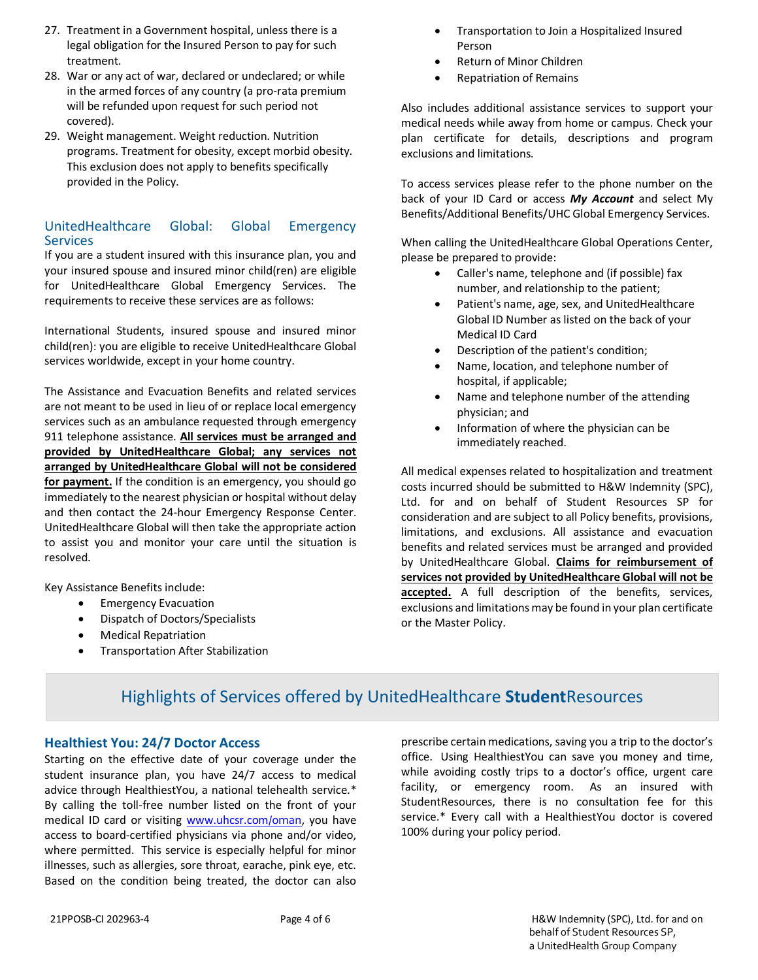- 27. Treatment in a Government hospital, unless there is a legal obligation for the Insured Person to pay for such treatment.
- 28. War or any act of war, declared or undeclared; or while in the armed forces of any country (a pro-rata premium will be refunded upon request for such period not covered).
- 29. Weight management. Weight reduction. Nutrition programs. Treatment for obesity, except morbid obesity. This exclusion does not apply to benefits specifically provided in the Policy.

# UnitedHealthcare Global: Global Emergency **Services**

If you are a student insured with this insurance plan, you and your insured spouse and insured minor child(ren) are eligible for UnitedHealthcare Global Emergency Services. The requirements to receive these services are as follows:

International Students, insured spouse and insured minor child(ren): you are eligible to receive UnitedHealthcare Global services worldwide, except in your home country.

The Assistance and Evacuation Benefits and related services are not meant to be used in lieu of or replace local emergency services such as an ambulance requested through emergency 911 telephone assistance. **All services must be arranged and provided by UnitedHealthcare Global; any services not arranged by UnitedHealthcare Global will not be considered for payment.** If the condition is an emergency, you should go immediately to the nearest physician or hospital without delay and then contact the 24-hour Emergency Response Center. UnitedHealthcare Global will then take the appropriate action to assist you and monitor your care until the situation is resolved.

Key Assistance Benefits include:

- **•** Emergency Evacuation
- Dispatch of Doctors/Specialists
- Medical Repatriation
- Transportation After Stabilization
- Transportation to Join a Hospitalized Insured Person
- Return of Minor Children
- Repatriation of Remains

Also includes additional assistance services to support your medical needs while away from home or campus. Check your plan certificate for details, descriptions and program exclusions and limitations.

To access services please refer to the phone number on the back of your ID Card or access *My Account* and select My Benefits/Additional Benefits/UHC Global Emergency Services.

When calling the UnitedHealthcare Global Operations Center, please be prepared to provide:

- Caller's name, telephone and (if possible) fax number, and relationship to the patient;
- Patient's name, age, sex, and UnitedHealthcare Global ID Number as listed on the back of your Medical ID Card
- Description of the patient's condition;
- Name, location, and telephone number of hospital, if applicable;
- Name and telephone number of the attending physician; and
- Information of where the physician can be immediately reached.

All medical expenses related to hospitalization and treatment costs incurred should be submitted to H&W Indemnity (SPC), Ltd. for and on behalf of Student Resources SP for consideration and are subject to all Policy benefits, provisions, limitations, and exclusions. All assistance and evacuation benefits and related services must be arranged and provided by UnitedHealthcare Global. **Claims for reimbursement of services not provided by UnitedHealthcare Global will not be**  accepted. A full description of the benefits, services, exclusions and limitations may be found in your plan certificate or the Master Policy.

# Highlights of Services offered by UnitedHealthcare **Student**Resources

# **Healthiest You: 24/7 Doctor Access**

Starting on the effective date of your coverage under the student insurance plan, you have 24/7 access to medical advice through HealthiestYou, a national telehealth service.\* By calling the toll-free number listed on the front of your medical ID card or visiting [www.uhcsr.com](http://www.uhcsr.com/)/oman, you have access to board-certified physicians via phone and/or video, where permitted. This service is especially helpful for minor illnesses, such as allergies, sore throat, earache, pink eye, etc. Based on the condition being treated, the doctor can also prescribe certain medications, saving you a trip to the doctor's office. Using HealthiestYou can save you money and time, while avoiding costly trips to a doctor's office, urgent care facility, or emergency room. As an insured with StudentResources, there is no consultation fee for this service.\* Every call with a HealthiestYou doctor is covered 100% during your policy period.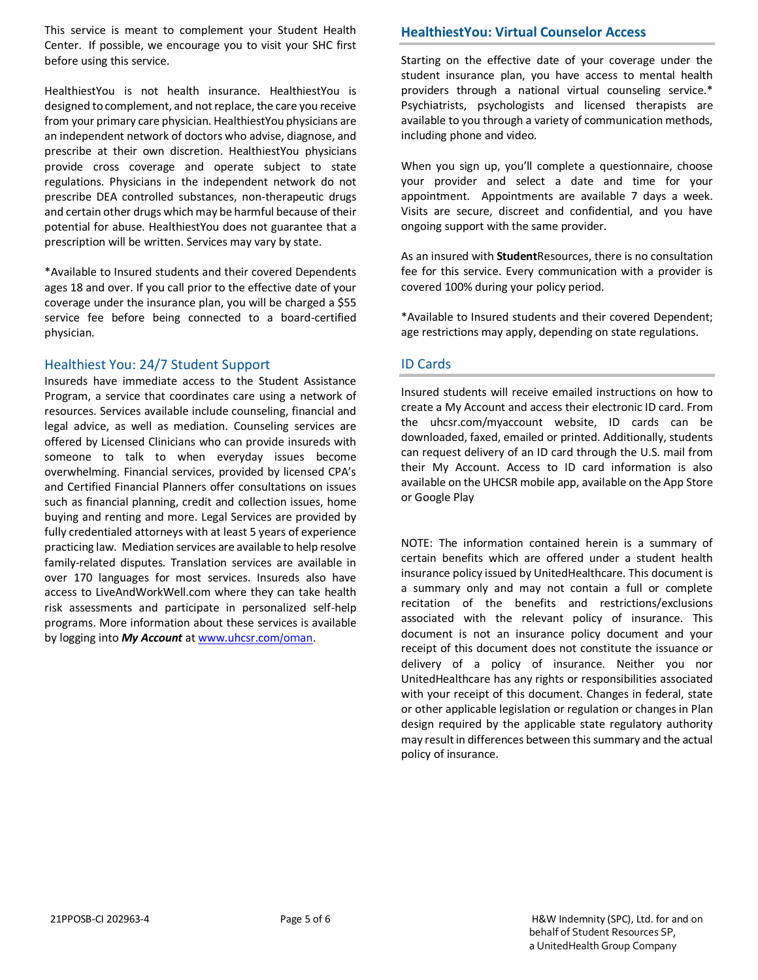This service is meant to complement your Student Health Center. If possible, we encourage you to visit your SHC first before using this service.

HealthiestYou is not health insurance. HealthiestYou is designed to complement, and not replace, the care you receive from your primary care physician. HealthiestYou physicians are an independent network of doctors who advise, diagnose, and prescribe at their own discretion. HealthiestYou physicians provide cross coverage and operate subject to state regulations. Physicians in the independent network do not prescribe DEA controlled substances, non-therapeutic drugs and certain other drugs which may be harmful because of their potential for abuse. HealthiestYou does not guarantee that a prescription will be written. Services may vary by state.

\*Available to Insured students and their covered Dependents ages 18 and over. If you call prior to the effective date of your coverage under the insurance plan, you will be charged a \$55 service fee before being connected to a board-certified physician.

## Healthiest You: 24/7 Student Support

Insureds have immediate access to the Student Assistance Program, a service that coordinates care using a network of resources. Services available include counseling, financial and legal advice, as well as mediation. Counseling services are offered by Licensed Clinicians who can provide insureds with someone to talk to when everyday issues become overwhelming. Financial services, provided by licensed CPA's and Certified Financial Planners offer consultations on issues such as financial planning, credit and collection issues, home buying and renting and more. Legal Services are provided by fully credentialed attorneys with at least 5 years of experience practicing law. Mediation services are available to help resolve family-related disputes. Translation services are available in over 170 languages for most services. Insureds also have access to LiveAndWorkWell.com where they can take health risk assessments and participate in personalized self-help programs. More information about these services is available by logging into *My Account* a[t www.uhcsr.com](http://www.uhcsr.com/)/oman.

## **HealthiestYou: Virtual Counselor Access**

Starting on the effective date of your coverage under the student insurance plan, you have access to mental health providers through a national virtual counseling service.\* Psychiatrists, psychologists and licensed therapists are available to you through a variety of communication methods, including phone and video.

When you sign up, you'll complete a questionnaire, choose your provider and select a date and time for your appointment. Appointments are available 7 days a week. Visits are secure, discreet and confidential, and you have ongoing support with the same provider.

As an insured with **Student**Resources, there is no consultation fee for this service. Every communication with a provider is covered 100% during your policy period.

\*Available to Insured students and their covered Dependent; age restrictions may apply, depending on state regulations.

## ID Cards

Insured students will receive emailed instructions on how to create a My Account and access their electronic ID card. From the uhcsr.com/myaccount website, ID cards can be downloaded, faxed, emailed or printed. Additionally, students can request delivery of an ID card through the U.S. mail from their My Account. Access to ID card information is also available on the UHCSR mobile app, available on the App Store or Google Play

NOTE: The information contained herein is a summary of certain benefits which are offered under a student health insurance policy issued by UnitedHealthcare. This document is a summary only and may not contain a full or complete recitation of the benefits and restrictions/exclusions associated with the relevant policy of insurance. This document is not an insurance policy document and your receipt of this document does not constitute the issuance or delivery of a policy of insurance. Neither you nor UnitedHealthcare has any rights or responsibilities associated with your receipt of this document. Changes in federal, state or other applicable legislation or regulation or changes in Plan design required by the applicable state regulatory authority may result in differences between this summary and the actual policy of insurance.